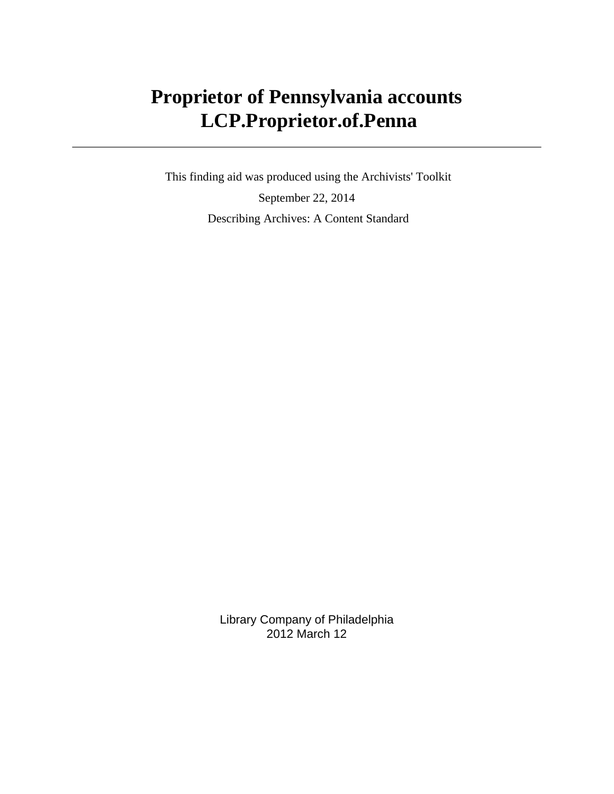# **Proprietor of Pennsylvania accounts LCP.Proprietor.of.Penna**

 This finding aid was produced using the Archivists' Toolkit September 22, 2014 Describing Archives: A Content Standard

> Library Company of Philadelphia 2012 March 12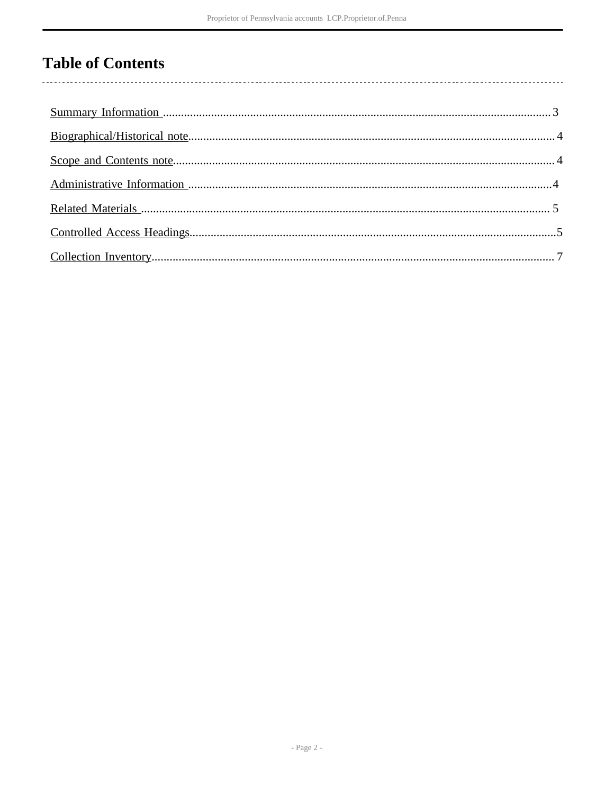# **Table of Contents**

 $\overline{\phantom{a}}$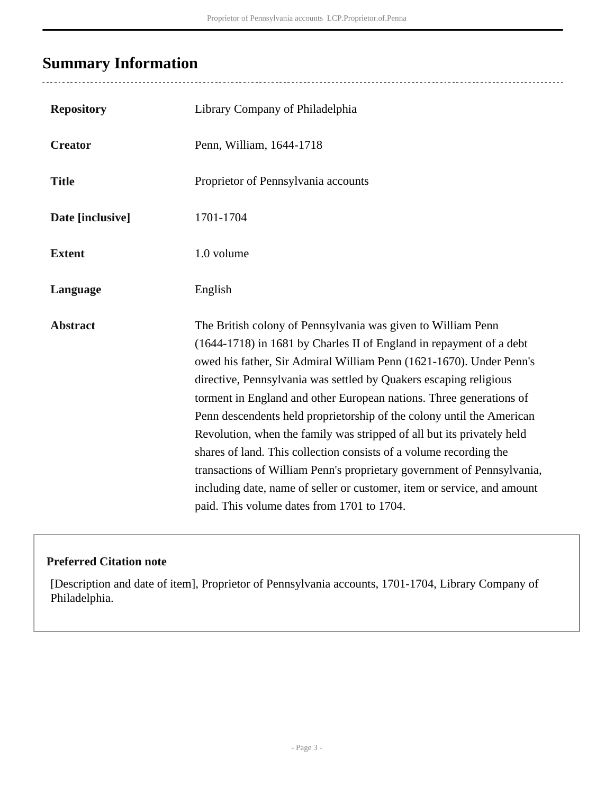### <span id="page-2-0"></span>**Summary Information**

| <b>Repository</b> | Library Company of Philadelphia                                                                                                                                                                                                                                                                                                                                                                                                                                                                                                                                                                                                                                                                                                                                                    |  |
|-------------------|------------------------------------------------------------------------------------------------------------------------------------------------------------------------------------------------------------------------------------------------------------------------------------------------------------------------------------------------------------------------------------------------------------------------------------------------------------------------------------------------------------------------------------------------------------------------------------------------------------------------------------------------------------------------------------------------------------------------------------------------------------------------------------|--|
| <b>Creator</b>    | Penn, William, 1644-1718                                                                                                                                                                                                                                                                                                                                                                                                                                                                                                                                                                                                                                                                                                                                                           |  |
| <b>Title</b>      | Proprietor of Pennsylvania accounts                                                                                                                                                                                                                                                                                                                                                                                                                                                                                                                                                                                                                                                                                                                                                |  |
| Date [inclusive]  | 1701-1704                                                                                                                                                                                                                                                                                                                                                                                                                                                                                                                                                                                                                                                                                                                                                                          |  |
| <b>Extent</b>     | 1.0 volume                                                                                                                                                                                                                                                                                                                                                                                                                                                                                                                                                                                                                                                                                                                                                                         |  |
| Language          | English                                                                                                                                                                                                                                                                                                                                                                                                                                                                                                                                                                                                                                                                                                                                                                            |  |
| <b>Abstract</b>   | The British colony of Pennsylvania was given to William Penn<br>(1644-1718) in 1681 by Charles II of England in repayment of a debt<br>owed his father, Sir Admiral William Penn (1621-1670). Under Penn's<br>directive, Pennsylvania was settled by Quakers escaping religious<br>torment in England and other European nations. Three generations of<br>Penn descendents held proprietorship of the colony until the American<br>Revolution, when the family was stripped of all but its privately held<br>shares of land. This collection consists of a volume recording the<br>transactions of William Penn's proprietary government of Pennsylvania,<br>including date, name of seller or customer, item or service, and amount<br>paid. This volume dates from 1701 to 1704. |  |

#### **Preferred Citation note**

[Description and date of item], Proprietor of Pennsylvania accounts, 1701-1704, Library Company of Philadelphia.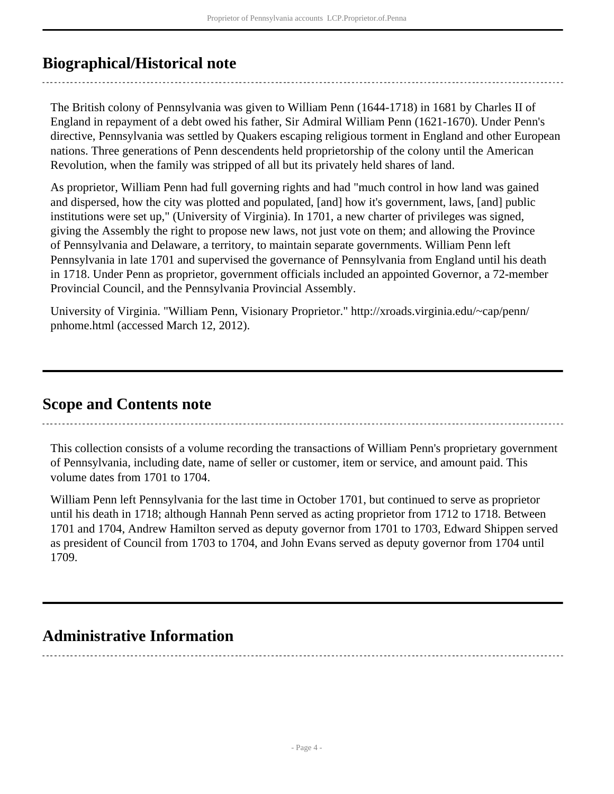### <span id="page-3-0"></span>**Biographical/Historical note**

The British colony of Pennsylvania was given to William Penn (1644-1718) in 1681 by Charles II of England in repayment of a debt owed his father, Sir Admiral William Penn (1621-1670). Under Penn's directive, Pennsylvania was settled by Quakers escaping religious torment in England and other European nations. Three generations of Penn descendents held proprietorship of the colony until the American Revolution, when the family was stripped of all but its privately held shares of land.

As proprietor, William Penn had full governing rights and had "much control in how land was gained and dispersed, how the city was plotted and populated, [and] how it's government, laws, [and] public institutions were set up," (University of Virginia). In 1701, a new charter of privileges was signed, giving the Assembly the right to propose new laws, not just vote on them; and allowing the Province of Pennsylvania and Delaware, a territory, to maintain separate governments. William Penn left Pennsylvania in late 1701 and supervised the governance of Pennsylvania from England until his death in 1718. Under Penn as proprietor, government officials included an appointed Governor, a 72-member Provincial Council, and the Pennsylvania Provincial Assembly.

University of Virginia. "William Penn, Visionary Proprietor." http://xroads.virginia.edu/~cap/penn/ pnhome.html (accessed March 12, 2012).

### <span id="page-3-1"></span>**Scope and Contents note**

This collection consists of a volume recording the transactions of William Penn's proprietary government of Pennsylvania, including date, name of seller or customer, item or service, and amount paid. This volume dates from 1701 to 1704.

William Penn left Pennsylvania for the last time in October 1701, but continued to serve as proprietor until his death in 1718; although Hannah Penn served as acting proprietor from 1712 to 1718. Between 1701 and 1704, Andrew Hamilton served as deputy governor from 1701 to 1703, Edward Shippen served as president of Council from 1703 to 1704, and John Evans served as deputy governor from 1704 until 1709.

### <span id="page-3-2"></span>**Administrative Information**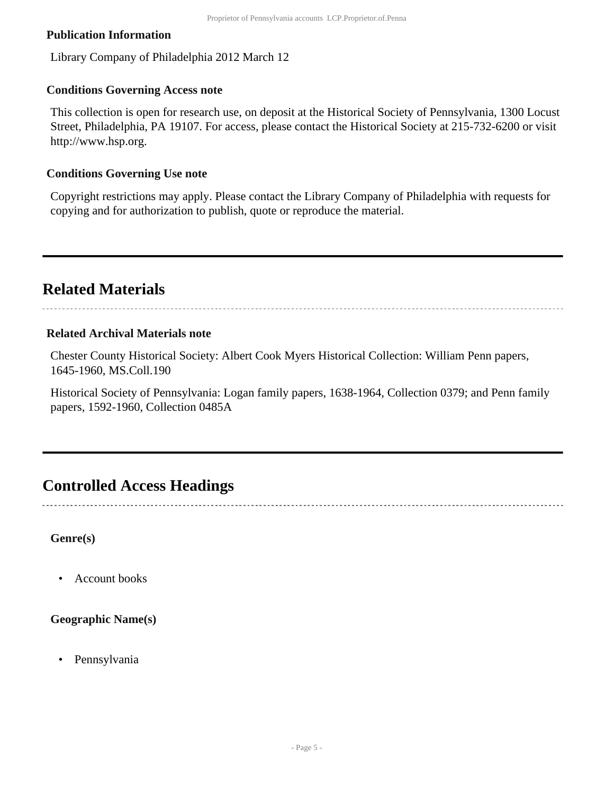#### **Publication Information**

Library Company of Philadelphia 2012 March 12

#### **Conditions Governing Access note**

This collection is open for research use, on deposit at the Historical Society of Pennsylvania, 1300 Locust Street, Philadelphia, PA 19107. For access, please contact the Historical Society at 215-732-6200 or visit http://www.hsp.org.

#### **Conditions Governing Use note**

Copyright restrictions may apply. Please contact the Library Company of Philadelphia with requests for copying and for authorization to publish, quote or reproduce the material.

### <span id="page-4-0"></span>**Related Materials**

#### **Related Archival Materials note**

Chester County Historical Society: Albert Cook Myers Historical Collection: William Penn papers, 1645-1960, MS.Coll.190

Historical Society of Pennsylvania: Logan family papers, 1638-1964, Collection 0379; and Penn family papers, 1592-1960, Collection 0485A

### <span id="page-4-1"></span>**Controlled Access Headings**

**Genre(s)**

• Account books

#### **Geographic Name(s)**

• Pennsylvania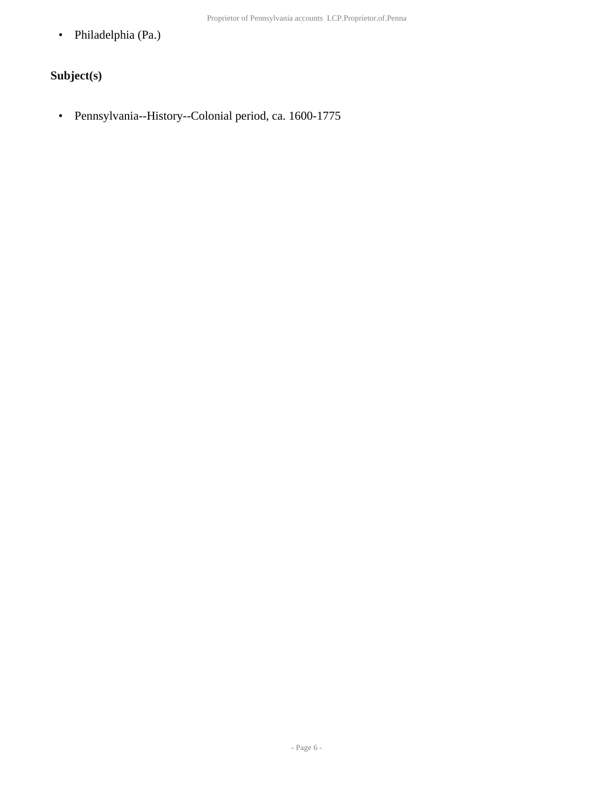• Philadelphia (Pa.)

### **Subject(s)**

• Pennsylvania--History--Colonial period, ca. 1600-1775